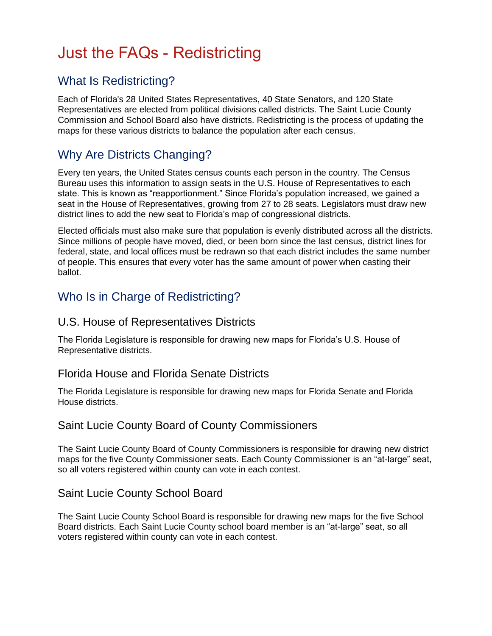# Just the FAQs - Redistricting

# What Is Redistricting?

Each of Florida's 28 United States Representatives, 40 State Senators, and 120 State Representatives are elected from political divisions called districts. The Saint Lucie County Commission and School Board also have districts. Redistricting is the process of updating the maps for these various districts to balance the population after each census.

# Why Are Districts Changing?

Every ten years, the United States census counts each person in the country. The Census Bureau uses this information to assign seats in the U.S. House of Representatives to each state. This is known as "reapportionment." Since Florida's population increased, we gained a seat in the House of Representatives, growing from 27 to 28 seats. Legislators must draw new district lines to add the new seat to Florida's map of congressional districts.

Elected officials must also make sure that population is evenly distributed across all the districts. Since millions of people have moved, died, or been born since the last census, district lines for federal, state, and local offices must be redrawn so that each district includes the same number of people. This ensures that every voter has the same amount of power when casting their ballot.

# Who Is in Charge of Redistricting?

## U.S. House of Representatives Districts

The Florida Legislature is responsible for drawing new maps for Florida's U.S. House of Representative districts.

#### Florida House and Florida Senate Districts

The Florida Legislature is responsible for drawing new maps for Florida Senate and Florida House districts.

#### Saint Lucie County Board of County Commissioners

The Saint Lucie County Board of County Commissioners is responsible for drawing new district maps for the five County Commissioner seats. Each County Commissioner is an "at-large" seat, so all voters registered within county can vote in each contest.

#### Saint Lucie County School Board

The Saint Lucie County School Board is responsible for drawing new maps for the five School Board districts. Each Saint Lucie County school board member is an "at-large" seat, so all voters registered within county can vote in each contest.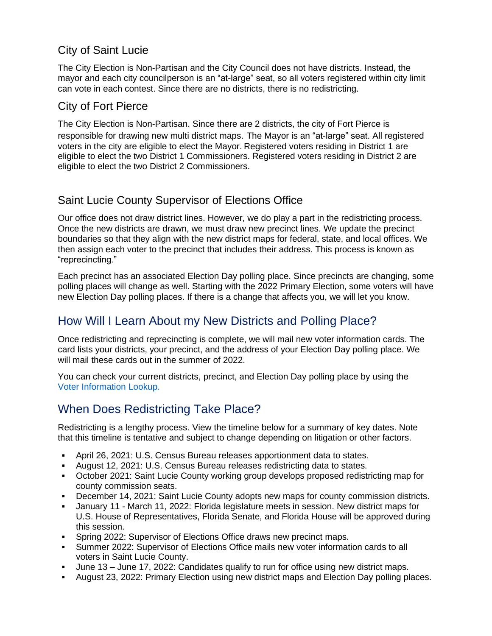## City of Saint Lucie

The City Election is Non-Partisan and the City Council does not have districts. Instead, the mayor and each city councilperson is an "at-large" seat, so all voters registered within city limit can vote in each contest. Since there are no districts, there is no redistricting.

#### City of Fort Pierce

The City Election is Non-Partisan. Since there are 2 districts, the city of Fort Pierce is responsible for drawing new multi district maps. The Mayor is an "at-large" seat. All registered voters in the city are eligible to elect the Mayor. Registered voters residing in District 1 are eligible to elect the two District 1 Commissioners. Registered voters residing in District 2 are eligible to elect the two District 2 Commissioners.

## Saint Lucie County Supervisor of Elections Office

Our office does not draw district lines. However, we do play a part in the redistricting process. Once the new districts are drawn, we must draw new precinct lines. We update the precinct boundaries so that they align with the new district maps for federal, state, and local offices. We then assign each voter to the precinct that includes their address. This process is known as "reprecincting."

Each precinct has an associated Election Day polling place. Since precincts are changing, some polling places will change as well. Starting with the 2022 Primary Election, some voters will have new Election Day polling places. If there is a change that affects you, we will let you know.

## How Will I Learn About my New Districts and Polling Place?

Once redistricting and reprecincting is complete, we will mail new voter information cards. The card lists your districts, your precinct, and the address of your Election Day polling place. We will mail these cards out in the summer of 2022.

You can check your current districts, precinct, and Election Day polling place by using the [Voter Information Lookup.](https://www.slcelections.com/ELECTION-INFORMATION/Where-do-I-vote)

## When Does Redistricting Take Place?

Redistricting is a lengthy process. View the timeline below for a summary of key dates. Note that this timeline is tentative and subject to change depending on litigation or other factors.

- April 26, 2021: U.S. Census Bureau releases apportionment data to states.
- August 12, 2021: U.S. Census Bureau releases redistricting data to states.
- October 2021: Saint Lucie County working group develops proposed redistricting map for county commission seats.
- December 14, 2021: Saint Lucie County adopts new maps for county commission districts.
- January 11 March 11, 2022: Florida legislature meets in session. New district maps for U.S. House of Representatives, Florida Senate, and Florida House will be approved during this session.
- Spring 2022: Supervisor of Elections Office draws new precinct maps.
- Summer 2022: Supervisor of Elections Office mails new voter information cards to all voters in Saint Lucie County.
- June 13 June 17, 2022: Candidates qualify to run for office using new district maps.
- August 23, 2022: Primary Election using new district maps and Election Day polling places.